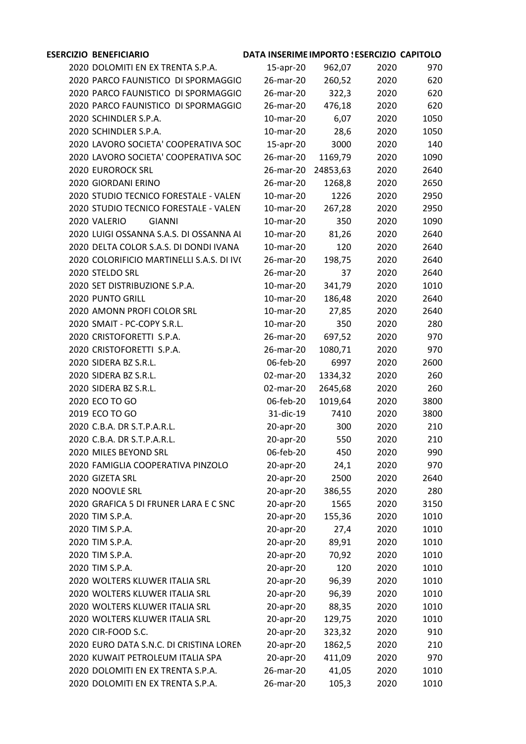## **ESERCIZIO DOCUMENTO BENEFICIARIO DATA INSERIMENTO DI IMPORTO SCARICATO ESERCIZIO MANDATO CAPITOLO** DOLOMITI ENERGIA S.P.A. EX TRENTA S.P.A. 15-apr-20 962,07 2020 970 2020 PARCO FAUNISTICO DI SPORMAGGIO 26-mar-20 260,52 2020 620 2020 PARCO FAUNISTICO DI SPORMAGGIO 26-mar-20 322.3 2020 620 2020 PARCO FAUNISTICO DI SPORMAGGIO 26-mar-20 476,18 2020 620 SCHINDLER S.P.A. 10-mar-20 6,07 2020 1050 SCHINDLER S.P.A. 10-mar-20 28,6 2020 1050 2020 LAVORO SOCIETA' COOPERATIVA SOC -apr-20 3000 2020 140 2020 LAVORO SOCIETA' COOPERATIVA SOC 26-mar-20 1169,79 2020 1090 EUROROCK SRL 26-mar-20 24853,63 2020 2640 GIORDANI ERINO 26-mar-20 1268,8 2020 2650 2020 STUDIO TECNICO FORESTALE - VALENTINI 10-mar-20 1226 2020 2950 2020 STUDIO TECNICO FORESTALE - VALENTINI 0-mar-20 267.28 2020 2950 VALERIO GIANNI 10-mar-20 350 2020 1090 2020 LUIGI OSSANNA S.A.S. DI OSSANNA AL 10-mar-20 81,26 2020 2640 DELTA COLOR S.A.S. DI DONDI IVANA & C. 10-mar-20 120 2020 2640 COLORIFICIO MARTINELLI S.A.S. DI IVO MARTINELLI E C. 26-mar-20 198,75 2020 2640 STELDO SRL 26-mar-20 37 2020 2640 SET DISTRIBUZIONE S.P.A. 10-mar-20 341,79 2020 1010 PUNTO GRILL 10-mar-20 186,48 2020 2640 AMONN PROFI COLOR SRL 10-mar-20 27,85 2020 2640 SMAIT - PC-COPY S.R.L. 10-mar-20 350 2020 280 CRISTOFORETTI S.P.A. 26-mar-20 697,52 2020 970 CRISTOFORETTI S.P.A. 26-mar-20 1080,71 2020 970 SIDERA BZ S.R.L. 06-feb-20 6997 2020 2600 SIDERA BZ S.R.L. 02-mar-20 1334,32 2020 260 SIDERA BZ S.R.L. 02-mar-20 2645,68 2020 260 ECO TO GO 06-feb-20 1019,64 2020 3800 ECO TO GO 31-dic-19 7410 2020 3800 C.B.A. DR S.T.P.A.R.L. 20-apr-20 300 2020 210 C.B.A. DR S.T.P.A.R.L. 20-apr-20 550 2020 210 MILES BEYOND SRL 06-feb-20 450 2020 990 FAMIGLIA COOPERATIVA PINZOLO 20-apr-20 24,1 2020 970 GIZETA SRL 20-apr-20 2500 2020 2640 NOOVLE SRL 20-apr-20 386,55 2020 280 GRAFICA 5 DI FRUNER LARA E C SNC 20-apr-20 1565 2020 3150 TIM S.P.A. 20-apr-20 155,36 2020 1010 TIM S.P.A. 20-apr-20 27,4 2020 1010 TIM S.P.A. 20-apr-20 89,91 2020 1010 TIM S.P.A. 20-apr-20 70,92 2020 1010 TIM S.P.A. 20-apr-20 120 2020 1010 WOLTERS KLUWER ITALIA SRL 20-apr-20 96,39 2020 1010 WOLTERS KLUWER ITALIA SRL 20-apr-20 96,39 2020 1010 WOLTERS KLUWER ITALIA SRL 20-apr-20 88,35 2020 1010 WOLTERS KLUWER ITALIA SRL 20-apr-20 129,75 2020 1010 CIR-FOOD S.C. 20-apr-20 323,32 2020 910 2020 EURO DATA S.N.C. DI CRISTINA LOREN 20-apr-20 1862,5 2020 210 KUWAIT PETROLEUM ITALIA SPA 20-apr-20 411,09 2020 970 2020 DOLOMITI EN EX TRENTA S.P.A. 26-mar-20 41,05 2020 1010 2020 DOLOMITI EN EX TRENTA S.P.A. 26-mar-20 105,3 2020 1010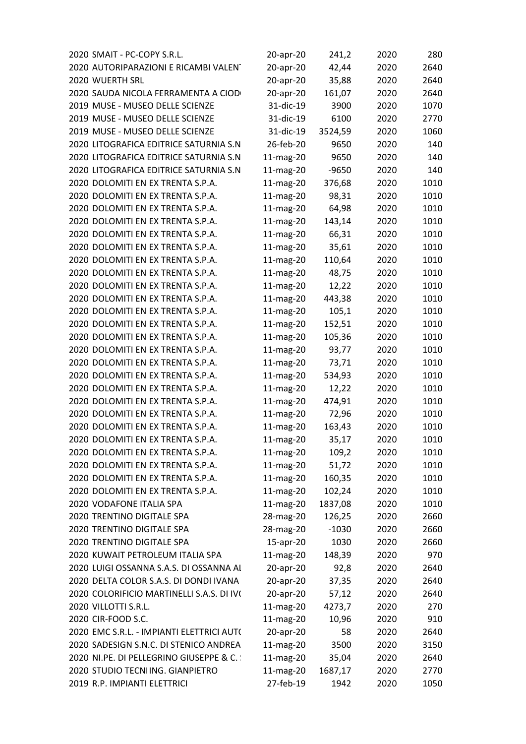| 2020 SMAIT - PC-COPY S.R.L.               | 20-apr-20 | 241,2   | 2020 | 280  |
|-------------------------------------------|-----------|---------|------|------|
| 2020 AUTORIPARAZIONI E RICAMBI VALENT     | 20-apr-20 | 42,44   | 2020 | 2640 |
| 2020 WUERTH SRL                           | 20-apr-20 | 35,88   | 2020 | 2640 |
| 2020 SAUDA NICOLA FERRAMENTA A CIODO      | 20-apr-20 | 161,07  | 2020 | 2640 |
| 2019 MUSE - MUSEO DELLE SCIENZE           | 31-dic-19 | 3900    | 2020 | 1070 |
| 2019 MUSE - MUSEO DELLE SCIENZE           | 31-dic-19 | 6100    | 2020 | 2770 |
| 2019 MUSE - MUSEO DELLE SCIENZE           | 31-dic-19 | 3524,59 | 2020 | 1060 |
| 2020 LITOGRAFICA EDITRICE SATURNIA S.N    | 26-feb-20 | 9650    | 2020 | 140  |
| 2020 LITOGRAFICA EDITRICE SATURNIA S.N    | 11-mag-20 | 9650    | 2020 | 140  |
| 2020 LITOGRAFICA EDITRICE SATURNIA S.N    | 11-mag-20 | $-9650$ | 2020 | 140  |
| 2020 DOLOMITI EN EX TRENTA S.P.A.         | 11-mag-20 | 376,68  | 2020 | 1010 |
| 2020 DOLOMITI EN EX TRENTA S.P.A.         | 11-mag-20 | 98,31   | 2020 | 1010 |
| 2020 DOLOMITI EN EX TRENTA S.P.A.         | 11-mag-20 | 64,98   | 2020 | 1010 |
| 2020 DOLOMITI EN EX TRENTA S.P.A.         | 11-mag-20 | 143,14  | 2020 | 1010 |
| 2020 DOLOMITI EN EX TRENTA S.P.A.         | 11-mag-20 | 66,31   | 2020 | 1010 |
| 2020 DOLOMITI EN EX TRENTA S.P.A.         | 11-mag-20 | 35,61   | 2020 | 1010 |
| 2020 DOLOMITI EN EX TRENTA S.P.A.         | 11-mag-20 | 110,64  | 2020 | 1010 |
| 2020 DOLOMITI EN EX TRENTA S.P.A.         | 11-mag-20 | 48,75   | 2020 | 1010 |
| 2020 DOLOMITI EN EX TRENTA S.P.A.         | 11-mag-20 | 12,22   | 2020 | 1010 |
| 2020 DOLOMITI EN EX TRENTA S.P.A.         | 11-mag-20 | 443,38  | 2020 | 1010 |
| 2020 DOLOMITI EN EX TRENTA S.P.A.         | 11-mag-20 | 105,1   | 2020 | 1010 |
| 2020 DOLOMITI EN EX TRENTA S.P.A.         | 11-mag-20 | 152,51  | 2020 | 1010 |
| 2020 DOLOMITI EN EX TRENTA S.P.A.         | 11-mag-20 | 105,36  | 2020 | 1010 |
| 2020 DOLOMITI EN EX TRENTA S.P.A.         | 11-mag-20 | 93,77   | 2020 | 1010 |
| 2020 DOLOMITI EN EX TRENTA S.P.A.         | 11-mag-20 | 73,71   | 2020 | 1010 |
| 2020 DOLOMITI EN EX TRENTA S.P.A.         | 11-mag-20 | 534,93  | 2020 | 1010 |
| 2020 DOLOMITI EN EX TRENTA S.P.A.         | 11-mag-20 | 12,22   | 2020 | 1010 |
| 2020 DOLOMITI EN EX TRENTA S.P.A.         | 11-mag-20 | 474,91  | 2020 | 1010 |
| 2020 DOLOMITI EN EX TRENTA S.P.A.         | 11-mag-20 | 72,96   | 2020 | 1010 |
| 2020 DOLOMITI EN EX TRENTA S.P.A.         | 11-mag-20 | 163,43  | 2020 | 1010 |
| 2020 DOLOMITI EN EX TRENTA S.P.A.         | 11-mag-20 | 35,17   | 2020 | 1010 |
| 2020 DOLOMITI EN EX TRENTA S.P.A.         | 11-mag-20 | 109,2   | 2020 | 1010 |
| 2020 DOLOMITI EN EX TRENTA S.P.A.         | 11-mag-20 | 51,72   | 2020 | 1010 |
| 2020 DOLOMITI EN EX TRENTA S.P.A.         | 11-mag-20 | 160,35  | 2020 | 1010 |
| 2020 DOLOMITI EN EX TRENTA S.P.A.         | 11-mag-20 | 102,24  | 2020 | 1010 |
| 2020 VODAFONE ITALIA SPA                  | 11-mag-20 | 1837,08 | 2020 | 1010 |
| 2020 TRENTINO DIGITALE SPA                | 28-mag-20 | 126,25  | 2020 | 2660 |
| 2020 TRENTINO DIGITALE SPA                | 28-mag-20 | $-1030$ | 2020 | 2660 |
| 2020 TRENTINO DIGITALE SPA                | 15-apr-20 | 1030    | 2020 | 2660 |
| 2020 KUWAIT PETROLEUM ITALIA SPA          | 11-mag-20 | 148,39  | 2020 | 970  |
| 2020 LUIGI OSSANNA S.A.S. DI OSSANNA AI   | 20-apr-20 | 92,8    | 2020 | 2640 |
| 2020 DELTA COLOR S.A.S. DI DONDI IVANA    | 20-apr-20 | 37,35   | 2020 | 2640 |
| 2020 COLORIFICIO MARTINELLI S.A.S. DI IVO | 20-apr-20 | 57,12   | 2020 | 2640 |
| 2020 VILLOTTI S.R.L.                      | 11-mag-20 | 4273,7  | 2020 | 270  |
| 2020 CIR-FOOD S.C.                        | 11-mag-20 | 10,96   | 2020 | 910  |
| 2020 EMC S.R.L. - IMPIANTI ELETTRICI AUT( | 20-apr-20 | 58      | 2020 | 2640 |
| 2020 SADESIGN S.N.C. DI STENICO ANDREA    | 11-mag-20 | 3500    | 2020 | 3150 |
| 2020 NI.PE. DI PELLEGRINO GIUSEPPE & C. : | 11-mag-20 | 35,04   | 2020 | 2640 |
| 2020 STUDIO TECNIING. GIANPIETRO          | 11-mag-20 | 1687,17 | 2020 | 2770 |
| 2019 R.P. IMPIANTI ELETTRICI              | 27-feb-19 | 1942    | 2020 | 1050 |
|                                           |           |         |      |      |